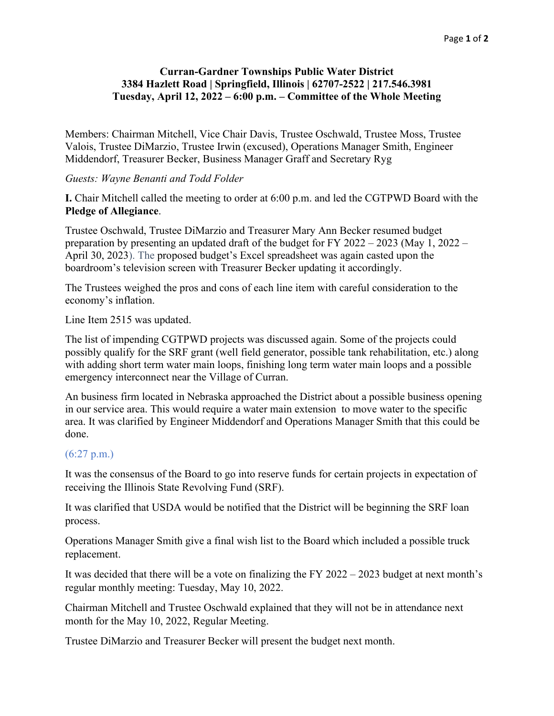## **Curran-Gardner Townships Public Water District 3384 Hazlett Road | Springfield, Illinois | 62707-2522 | 217.546.3981 Tuesday, April 12, 2022 – 6:00 p.m. – Committee of the Whole Meeting**

Members: Chairman Mitchell, Vice Chair Davis, Trustee Oschwald, Trustee Moss, Trustee Valois, Trustee DiMarzio, Trustee Irwin (excused), Operations Manager Smith, Engineer Middendorf, Treasurer Becker, Business Manager Graff and Secretary Ryg

## *Guests: Wayne Benanti and Todd Folder*

**I.** Chair Mitchell called the meeting to order at 6:00 p.m. and led the CGTPWD Board with the **Pledge of Allegiance**.

Trustee Oschwald, Trustee DiMarzio and Treasurer Mary Ann Becker resumed budget preparation by presenting an updated draft of the budget for FY 2022 – 2023 (May 1, 2022 – April 30, 2023). The proposed budget's Excel spreadsheet was again casted upon the boardroom's television screen with Treasurer Becker updating it accordingly.

The Trustees weighed the pros and cons of each line item with careful consideration to the economy's inflation.

Line Item 2515 was updated.

The list of impending CGTPWD projects was discussed again. Some of the projects could possibly qualify for the SRF grant (well field generator, possible tank rehabilitation, etc.) along with adding short term water main loops, finishing long term water main loops and a possible emergency interconnect near the Village of Curran.

An business firm located in Nebraska approached the District about a possible business opening in our service area. This would require a water main extension to move water to the specific area. It was clarified by Engineer Middendorf and Operations Manager Smith that this could be done.

## (6:27 p.m.)

It was the consensus of the Board to go into reserve funds for certain projects in expectation of receiving the Illinois State Revolving Fund (SRF).

It was clarified that USDA would be notified that the District will be beginning the SRF loan process.

Operations Manager Smith give a final wish list to the Board which included a possible truck replacement.

It was decided that there will be a vote on finalizing the FY 2022 – 2023 budget at next month's regular monthly meeting: Tuesday, May 10, 2022.

Chairman Mitchell and Trustee Oschwald explained that they will not be in attendance next month for the May 10, 2022, Regular Meeting.

Trustee DiMarzio and Treasurer Becker will present the budget next month.